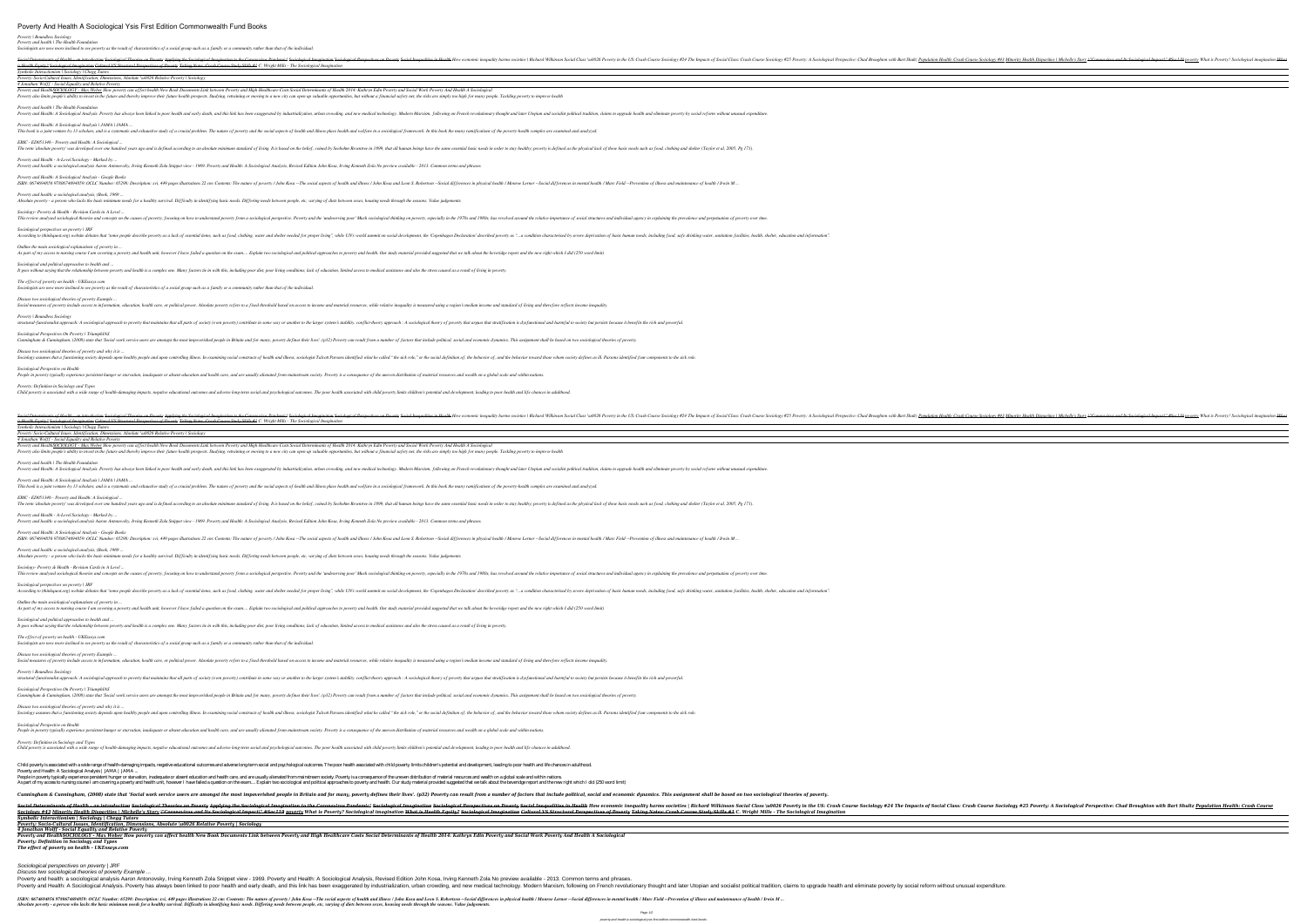### *Poverty | Boundless Sociology Poverty and health | The Health Foundation*

*Sociologists are now more inclined to see poverty as the result of characteristics of a social group such as a family or a community rather than that of the individual.*

*ERIC - ED051346 - Poverty and Health: A Sociological* The term 'absolute poverty' was developed over one hundred years ago and is defined according to an absolute minimum standard of living. It is based on the belief, coined by Seebohm Rowntree in 1899, that all human beings *Poverty and Health - A-Level Sociology - Marked by ...*

| Social Determinants of Health - an introduction Sociological Theories on Poverty Applying the Sociological Imagination to the Coronavirus Pandemic! Sociological Imagination Sociological Imagination Sociological Imagination |
|--------------------------------------------------------------------------------------------------------------------------------------------------------------------------------------------------------------------------------|
| is Health Equity? Sociological Imagination Cultural VS Structural Perspectives of Poverty Taking Notes: Crash Course Study Skills #1 C. Wright Mills - The Sociological Imagination                                            |
| Symbolic Interactionism   Sociology   Chegg Tutors                                                                                                                                                                             |
| Poverty: Socio-Cultural Issues, Identification, Dimensions, Absolute \u0026 Relative Poverty   Sociology                                                                                                                       |
| 4 Jonathan Wolff - Social Equality and Relative Poverty                                                                                                                                                                        |
| Poverty and HealthSOCIOLOGY - Max Weber How poverty can affect health New Book Documents Link between Poverty and High Healthcare Costs Social Determinants of Health 2014: Kathryn Edin Poverty and Social Work Poverty And H |
| Poverty also limits people's ability to invest in the future and thereby improve their future health prospects. Studying, retraining or moving to a new city can open up valuable opportunities, but without a financial safet |
| Poverty and health   The Health Foundation                                                                                                                                                                                     |
| Poverty and Health: A Sociological Analysis. Poverty has always been linked to poor health and early death, and this link has been exaggerated by industrialization, urban crowding, and new medical technology. Modern Marxis |
| Poverty and Health: A Sociological Analysis   JAMA   JAMA                                                                                                                                                                      |
| This book is a joint venture by 13 scholars, and is a systematic and exhaustive study of a crucial problem. The nature of powerty and the social aspects of health and illness place health and welfare in a sociological fra  |

This book is a joint venure by 15 scholars, and is a systemanc and exhaustive study of a crucial problem. The nature of poverty and the social aspects of health and whelfare in a sociological framework. In this book the ma

*Poverty and health: a sociological analysis, (Book, 1969 ...* Absolute poverty - a person who lacks the basic minimum needs for a healthy survival. Difficulty in identifying basic needs. Differing needs between people, etc, varying of diets between sexes, housing needs through the se

This review analysed sociological theories and concepts on the causes of poverty, focusing on how to understand poverty from a sociological perspective. Poverty and the 'undeserving poor' Much sociological thinking on pove *Sociological perspectives on poverty | JRF*

According to (thinkquest.org) website debates that "some people describe poverty as a lack of essential items, such as food, clothing, water and shelter needed for proper living", while UN's world summit on social developm *Outline the main sociological explanations of poverty in* 

Social measures of poverty include access to information, education, health care, or political power. Absolute poverty refers to a fixed threshold based on access to income and material resources, while relative inequality *Poverty | Boundless Sociology*

*Poverty and Health: A Sociological Analysis - Google Books*

### *Sociology- Poverty & Health - Revision Cards in A Level ...*

This book is a joint venture by 13 scholars, and is a systematic and exhaustive study of a crucial problem. The nature of poverty and the social aspects of health and illness place health and welfare in a sociological fram *ERIC - ED051346 - Poverty and Health: A Sociological ...*

The term 'absolute poverty' was developed over one hundred years ago and is defined according to an absolute minimum standard of living. It is based on the belief, coined by Seebohm Rowntree in 1899, that all human beings

*Sociological and political approaches to health and ...*

*The effect of poverty on health - UKEssays.com*

*Sociologists are now more inclined to see poverty as the result of characteristics of a social group such as a family or a community rather than that of the individual.*

### *Discuss two sociological theories of poverty Example ...*

*Sociological perspectives on poverty | JRF* According to (thinkquest.org) website debates that "some people describe poverty as a lack of essential items, such as food, clothing, water and shelter needed for proper living", while UN's world summit on social developm

*Sociological Perspectives On Poverty | TriumphIAS*

*Poverty | Boundless Sociology* structural-functionalist approach: A sociological approach to poverty that maintains that all parts of society (even poverty) contribute in some way or another to the larger system's stability. conflict-theory approach : A

*Discuss two sociological theories of poverty and why it is ...*

*Sociological Perspectives On Poverty | TriumphIAS* Cunningham & Cunningham, (2008) state that 'Social work service users are amongst the most impoverished people in Britain and for many, poverty defines their lives'. (p32) Poverty can result from a number of factors that i

## *Sociological Perspective on Health*

People in poverty typically experience persistent hunger or starvation, inadequate or absent education and health care, and are usually alienated from mainstream society. Poverty is a consequence of the uneven distribution

### *Poverty: Definition in Sociology and Types*

Child poverty is associated with a wide range of health-damaging impacts, negative educational outcomes and adverse long-term social and psychological outcomes. The poor health associated with child poverty limits children

People in poverty typically experience persistent hunger or starvation, inadequate or absent education and health care, and are usually alienated from mainstream society. Poverty is a consequence of the uneven distribution *Poverty: Definition in Sociology and Types*

Child poverty is associated with a wide range of health-damaging impacts, negative educational outcomes and adverse long-term social and psychological outcomes. The poor health associated with child poverty limits children

Child poverty is associated with a wide range of health-damaging impacts, negative educational outcomes and adverse long-term social and psychological outcomes. The poor health associated with child poverty limits children *Poverty and Health: A Sociological Analysis | JAMA | JAMA ...* People in poverty typically experience persistent hunger or starvation, inadequate or absent education and health care, and are usually alienated from mainstream society. Poverty is a consequence of the uneven distribution As part of my access to nursing course I am covering a poverty and health unit, however I have failed a question on the exam... Explain two sociological and political approaches to poverty and health. Our study material pr

Cunningham & Cunningham, (2008) state that 'Social work service users are amongst the most impoverished people in Britain and for many, poverty defines their lives'. (p32) Poverty can result from a number of factors that i

*Social Determinants of Health - an introduction Sociological Theories on Poverty Applying the Sociological Imagination to the Coronavirus Pandemic! Sociological Imagination Sociological Perspectives on Poverty Social Inequalities in Health How economic inequality harms societies | Richard Wilkinson Social Class \u0026 Poverty in the US: Crash Course Sociology #24 The Impacts of Social Class: Crash Course Sociology #25 Poverty: A Sociological Perspective: Chad Broughton with Bart Shultz Population Health: Crash Course Sociology #43 Minority Health Disparities | Michelle's Story \"Coronavirus and Its Sociological Impact\" #Soc119 poverty What is Poverty? Sociological imagination What is Health Equity? Sociological Imagination Cultural VS Structural Perspectives of Poverty Taking Notes: Crash Course Study Skills #1 C. Wright Mills - The Sociological Imagination Symbolic Interactionism | Sociology | Chegg Tutors*

Social Determinants of Health - an introduction Sociological Theories on Poverty Applying the Sociological Imagination to the Coronavirus Pandemic! Sociology #25 Poverty: A Sociology #25 Poverty: A Sociological Imagination Sociology #43 Minority Health Disparities | Michelle's Story <del>|"Coronavirus and Its Sociological Impact|" #Sociological Impact|" #Soci 19</del> poverty? Sociological imagination What is Poverty Taking Notes: Crash Course Study *Symbolic Interactionism | Sociology | Chegg Tutors*

*Poverty: Socio-Cultural Issues, Identification, Dimensions, Absolute \u0026 Relative Poverty | Sociology 4 Jonathan Wolff - Social Equality and Relative Poverty*

Poverty and HealthSOCIOLOGY - Max Weber How poverty can affect health New Book Documents Link between Poverty and High Healthcare Costs Social Determinants of Health 2014: Kathryn Edin Poverty and Social Work Poverty And H Poverty also limits people's ability to invest in the future and thereby improve their future health prospects. Studying, retraining or moving to a new city can open up valuable opportunities, but without a financial safet

### *Poverty and health | The Health Foundation*

Poverty and Health: A Sociological Analysis. Poverty has always been linked to poor health and early death, and this link has been exaggerated by industrialization, urban crowding, and new medical technology. Modern Marxis

# *Poverty and Health: A Sociological Analysis | JAMA | JAMA ...*

### *Poverty and Health - A-Level Sociology - Marked by ...*

Poverty and health: a sociological analysis Aaron Antonovsky, Irving Kenneth Zola Snippet view - 1969. Poverty and Health: A Sociological Analysis, Revised Edition John Kosa, Irving Kenneth Zola No preview available - 2013

*Poverty and Health: A Sociological Analysis - Google Books*

*Poverty and health: a sociological analysis, (Book, 1969 ...*

### Absolute poverty - a person who lacks the basic minimum needs for a healthy survival. Difficulty in identifying basic needs. Differing needs between people, etc, varying of diets between sexes, housing needs through the se

*Sociology- Poverty & Health - Revision Cards in A Level ...*

### *Outline the main sociological explanations of poverty in ...*

As part of my access to nursing course I am covering a poverty and health unit, however I have failed a question on the exam.... Explain two sociological and political approaches to poverty and health. Our study material p

# *Sociological and political approaches to health and ...*

It goes without saying that the relationship between poverty and health is a complex one. Many factors tie in with this, including poor diet, poor living conditions, lack of education, limited access to medical assistance

## *The effect of poverty on health - UKEssays.com*

*Sociologists are now more inclined to see poverty as the result of characteristics of a social group such as a family or a community rather than that of the individual.*

### *Discuss two sociological theories of poverty Example ...*

Social measures of poverty include access to information, education, health care, or political power. Absolute poverty refers to a fixed threshold based on access to income and material resources, while relative inequality

# *Discuss two sociological theories of poverty and why it is ...*

Sociology assumes that a functioning society depends upon healthy people and upon controlling illness. In examining social constructs of health and illness, sociologist Talcott Parsons identified what he called "the sick r

## *Sociological Perspective on Health*

*Poverty: Socio-Cultural Issues, Identification, Dimensions, Absolute \u0026 Relative Poverty | Sociology 4 Jonathan Wolff - Social Equality and Relative Poverty*

*Poverty: Definition in Sociology and Types The effect of poverty on health - UKEssays.com*

### Sociological perspectives on poverty | JRF

Discuss two sociological theories of poverty Example ...

Poverty and health: a sociological analysis Aaron Antonovsky, Irving Kenneth Zola Snippet view - 1969. Poverty and Health: A Sociological Analysis, Revised Edition John Kosa, Irving Kenneth Zola No preview available - 2013

ISBN: 0674694856 9780674694859: OCLC Number: 65298: Description: xvi, 449 pages illustrations 22 cm: Contents: The nature of poverty / John Kosa --The social aspects of health / Monroe Lerner --Social differences in mental

As part of my access to nursing course I am covering a poverty and health unit, however I have failed a question on the exam.... Explain two sociological and political approaches to poverty and health. Our study material p

It goes without saying that the relationship between poverty and health is a complex one. Many factors tie in with this, including poor diet, poor living conditions, lack of education, limited access to medical assistance

structural-functionalist approach: A sociological approach to poverty that maintains that all parts of society (even poverty) contribute in some way or another to the larger system's stability. conflict-theory approach : A

Cunningham & Cunningham, (2008) state that 'Social work service users are amongst the most impoverished people in Britain and for many, poverty defines their lives'. (p32) Poverty can result from a number of factors that i

Sociology assumes that a functioning society depends upon healthy people and upon controlling illness. In examining social constructs of health and illness, sociologist Talcott Parsons identified what he called "the sick r

ISBN: 0674694856 9780674694859: OCLC Number: 65298: Description: xvi, 449 pages illustrations 22 cm: Contents: The nature of poverty / John Kosa --The social aspects of health and illness / John Kosa and Leon S. Robertson

This review analysed sociological theories and concepts on the causes of poverty, focusing on how to understand poverty from a sociological perspective. Poverty and the 'undeserving poor' Much sociological thinking on pove

Poverty and Health<u>SOCIOLOGY - Max Weber</u> How poverty can affect health New Book Documents Link between Poverty and High Healthcare Costs Social Determinants of Health 2014: Kathryn Edin Poverty and Social Work Poverty And

Poverty and health: a sociological analysis Aaron Antonovsky, Irving Kenneth Zola Snippet view - 1969. Poverty and Health: A Sociological Analysis, Revised Edition John Kosa, Irving Kenneth Zola No preview available - 2013

... ISBN: 0674694856 9780674694859: OCLC Number: 65298: Description: xvi, 449 pages illustrations 22 cm: Contents: The nature of poverty / John Kosa --The social aspects of health And illness / John Kosa and Leon S. Robert Absolute poverty - a person who lacks the basic minimum needs for a healthy survival. Difficulty in identifying basic needs. Differing needs between people, etc, varying of diets between sexes, housing needs through the se

Empacts of Social Class: Crash Course Sociology #25 Poverty: A Sociological Perspective: Chad Broughton with Bart Shultz Population Health: Crash Course Sociology #43 Minority Health Disparities | Michelle's Story N'Corona

Poverty and Health: A Sociological Analysis. Poverty has always been linked to poor health and early death, and this link has been exaggerated by industrialization, claims to upgrade health and eliminate poverty by social